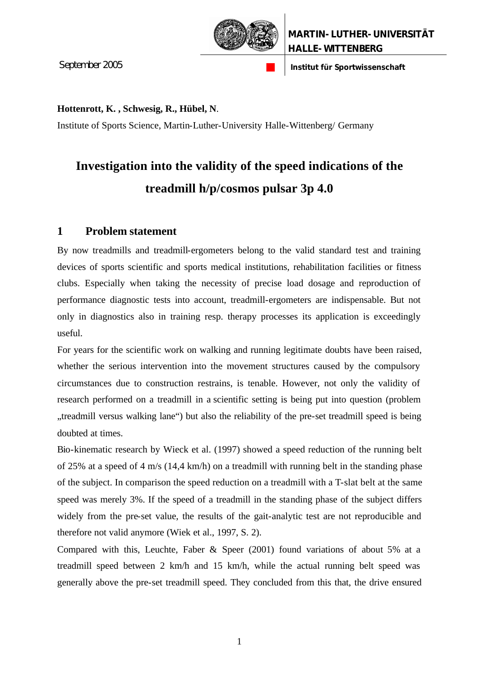

September 2005 **n Institut für Sportwissenschaft** 

#### **Hottenrott, K. , Schwesig, R., Hübel, N**.

Institute of Sports Science, Martin-Luther-University Halle-Wittenberg/ Germany

# **Investigation into the validity of the speed indications of the treadmill h/p/cosmos pulsar 3p 4.0**

### **1 Problem statement**

By now treadmills and treadmill-ergometers belong to the valid standard test and training devices of sports scientific and sports medical institutions, rehabilitation facilities or fitness clubs. Especially when taking the necessity of precise load dosage and reproduction of performance diagnostic tests into account, treadmill-ergometers are indispensable. But not only in diagnostics also in training resp. therapy processes its application is exceedingly useful.

For years for the scientific work on walking and running legitimate doubts have been raised, whether the serious intervention into the movement structures caused by the compulsory circumstances due to construction restrains, is tenable. However, not only the validity of research performed on a treadmill in a scientific setting is being put into question (problem "treadmill versus walking lane") but also the reliability of the pre-set treadmill speed is being doubted at times.

Bio-kinematic research by Wieck et al. (1997) showed a speed reduction of the running belt of 25% at a speed of 4 m/s (14.4 km/h) on a treadmill with running belt in the standing phase of the subject. In comparison the speed reduction on a treadmill with a T-slat belt at the same speed was merely 3%. If the speed of a treadmill in the standing phase of the subject differs widely from the pre-set value, the results of the gait-analytic test are not reproducible and therefore not valid anymore (Wiek et al., 1997, S. 2).

Compared with this, Leuchte, Faber & Speer (2001) found variations of about 5% at a treadmill speed between 2 km/h and 15 km/h, while the actual running belt speed was generally above the pre-set treadmill speed. They concluded from this that, the drive ensured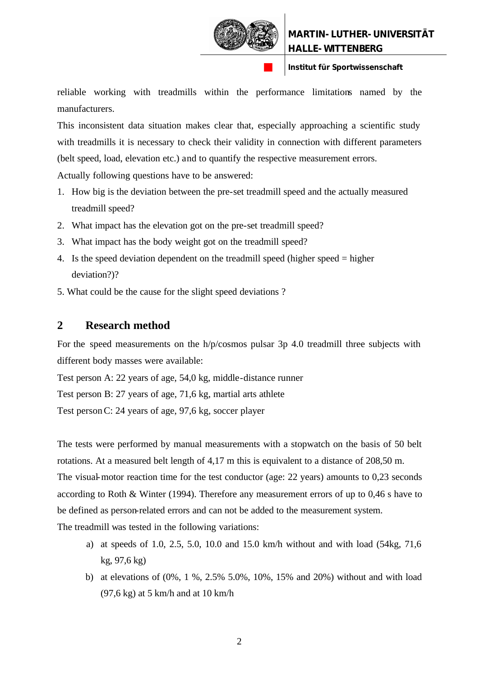

reliable working with treadmills within the performance limitations named by the manufacturers.

This inconsistent data situation makes clear that, especially approaching a scientific study with treadmills it is necessary to check their validity in connection with different parameters (belt speed, load, elevation etc.) and to quantify the respective measurement errors. Actually following questions have to be answered:

- 1. How big is the deviation between the pre-set treadmill speed and the actually measured treadmill speed?
- 2. What impact has the elevation got on the pre-set treadmill speed?
- 3. What impact has the body weight got on the treadmill speed?
- 4. Is the speed deviation dependent on the treadmill speed (higher speed = higher deviation?)?
- 5. What could be the cause for the slight speed deviations ?

### **2 Research method**

For the speed measurements on the h/p/cosmos pulsar 3p 4.0 treadmill three subjects with different body masses were available:

Test person A: 22 years of age, 54,0 kg, middle-distance runner

Test person B: 27 years of age, 71,6 kg, martial arts athlete

Test person C: 24 years of age, 97,6 kg, soccer player

The tests were performed by manual measurements with a stopwatch on the basis of 50 belt rotations. At a measured belt length of 4,17 m this is equivalent to a distance of 208,50 m. The visual-motor reaction time for the test conductor (age: 22 years) amounts to 0,23 seconds according to Roth & Winter (1994). Therefore any measurement errors of up to 0,46 s have to be defined as person-related errors and can not be added to the measurement system.

The treadmill was tested in the following variations:

- a) at speeds of 1.0, 2.5, 5.0, 10.0 and 15.0 km/h without and with load (54kg, 71,6 kg, 97,6 kg)
- b) at elevations of (0%, 1 %, 2.5% 5.0%, 10%, 15% and 20%) without and with load (97,6 kg) at 5 km/h and at 10 km/h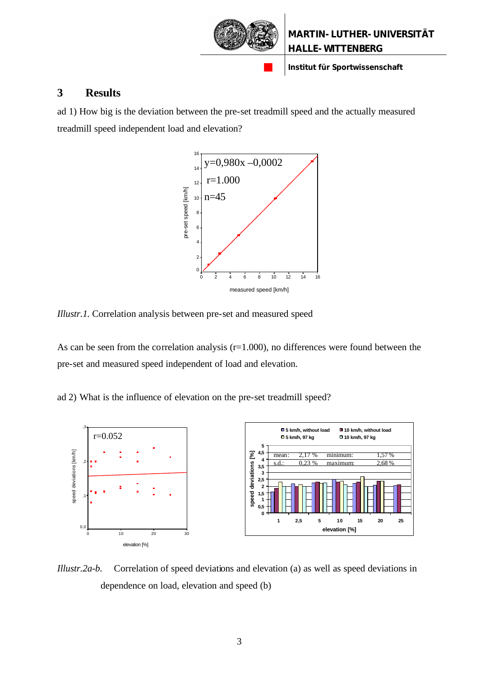

#### **3 Results**

ad 1) How big is the deviation between the pre-set treadmill speed and the actually measured treadmill speed independent load and elevation?



*Illustr.1.* Correlation analysis between pre-set and measured speed

As can be seen from the correlation analysis  $(r=1.000)$ , no differences were found between the pre-set and measured speed independent of load and elevation.

ad 2) What is the influence of elevation on the pre-set treadmill speed?



*Illustr.2a-b.* Correlation of speed deviations and elevation (a) as well as speed deviations in dependence on load, elevation and speed (b)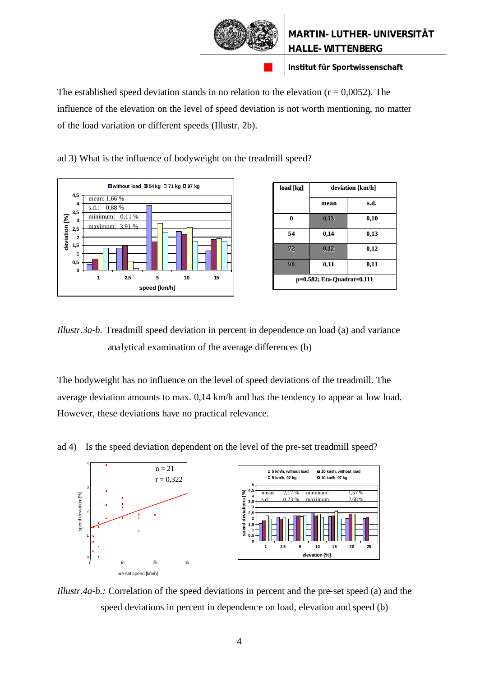

The established speed deviation stands in no relation to the elevation  $(r = 0.0052)$ . The influence of the elevation on the level of speed deviation is not worth mentioning, no matter of the load variation or different speeds (Illustr. 2b).

ad 3) What is the influence of bodyweight on the treadmill speed?



| load [kg]                  | deviation [km/h] |      |  |  |  |
|----------------------------|------------------|------|--|--|--|
|                            | mean             | s.d. |  |  |  |
| $\bf{0}$                   | 0,13             | 0,10 |  |  |  |
| 54                         | 0,14             | 0,13 |  |  |  |
| 72                         | 0,12             | 0,12 |  |  |  |
| 98                         | 0,11             | 0,11 |  |  |  |
| p=0.582; Eta-Quadrat=0.111 |                  |      |  |  |  |

*Illustr.3a-b.* Treadmill speed deviation in percent in dependence on load (a) and variance analytical examination of the average differences (b)

The bodyweight has no influence on the level of speed deviations of the treadmill. The average deviation amounts to max. 0,14 km/h and has the tendency to appear at low load. However, these deviations have no practical relevance.

ad 4) Is the speed deviation dependent on the level of the pre-set treadmill speed?



*Illustr.4a-b.:* Correlation of the speed deviations in percent and the pre-set speed (a) and the speed deviations in percent in dependence on load, elevation and speed (b)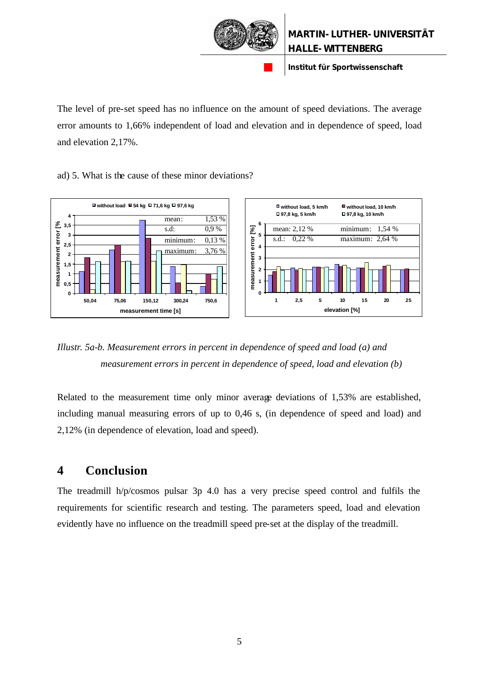

The level of pre-set speed has no influence on the amount of speed deviations. The average error amounts to 1,66% independent of load and elevation and in dependence of speed, load and elevation 2,17%.

ad) 5. What is the cause of these minor deviations?



*Illustr. 5a-b. Measurement errors in percent in dependence of speed and load (a) and measurement errors in percent in dependence of speed, load and elevation (b)*

Related to the measurement time only minor average deviations of 1,53% are established, including manual measuring errors of up to 0,46 s, (in dependence of speed and load) and 2,12% (in dependence of elevation, load and speed).

## **4 Conclusion**

The treadmill h/p/cosmos pulsar 3p 4.0 has a very precise speed control and fulfils the requirements for scientific research and testing. The parameters speed, load and elevation evidently have no influence on the treadmill speed pre-set at the display of the treadmill.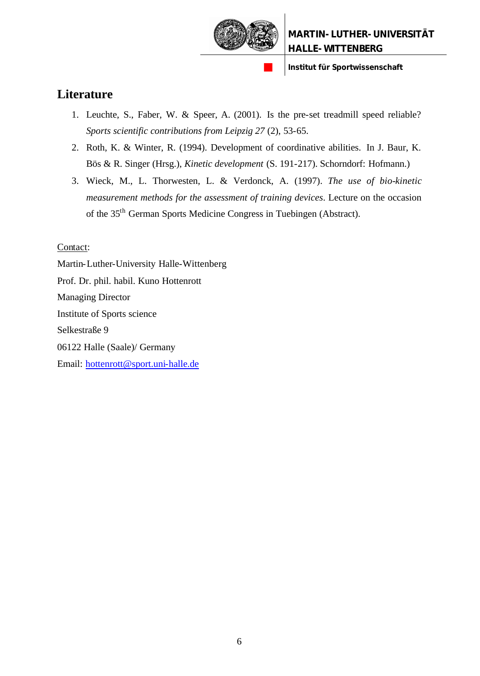

## **Literature**

- 1. Leuchte, S., Faber, W. & Speer, A. (2001). Is the pre-set treadmill speed reliable? *Sports scientific contributions from Leipzig 27* (2), 53-65.
- 2. Roth, K. & Winter, R. (1994). Development of coordinative abilities. In J. Baur, K. Bös & R. Singer (Hrsg.), *Kinetic development* (S. 191-217). Schorndorf: Hofmann.)
- 3. Wieck, M., L. Thorwesten, L. & Verdonck, A. (1997). *The use of bio-kinetic measurement methods for the assessment of training devices*. Lecture on the occasion of the 35th German Sports Medicine Congress in Tuebingen (Abstract).

#### Contact:

Martin-Luther-University Halle-Wittenberg Prof. Dr. phil. habil. Kuno Hottenrott Managing Director Institute of Sports science Selkestraße 9 06122 Halle (Saale)/ Germany Email: hottenrott@sport.uni-halle.de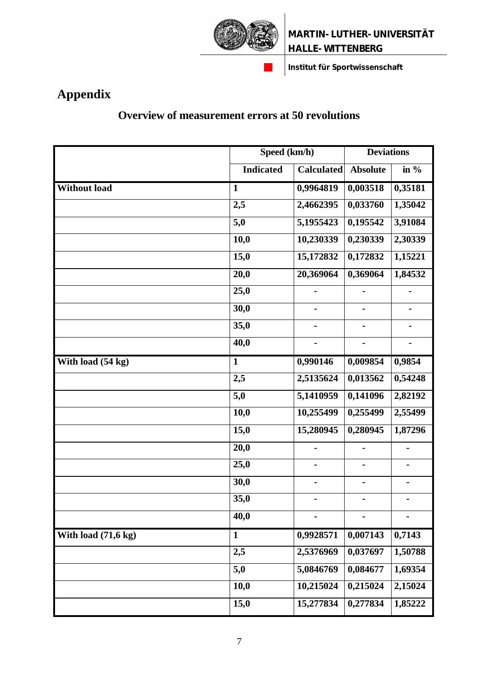

# **Appendix**

## **Overview of measurement errors at 50 revolutions**

|                                | Speed (km/h)     |                   | <b>Deviations</b>        |                              |
|--------------------------------|------------------|-------------------|--------------------------|------------------------------|
|                                | <b>Indicated</b> | <b>Calculated</b> | <b>Absolute</b>          | in $%$                       |
| <b>Without load</b>            | $\mathbf{1}$     | 0,9964819         | 0,003518                 | 0,35181                      |
|                                | 2,5              | 2,4662395         | 0,033760                 | 1,35042                      |
|                                | 5,0              | 5,1955423         | 0,195542                 | 3,91084                      |
|                                | 10,0             | 10,230339         | 0,230339                 | 2,30339                      |
|                                | 15,0             | 15,172832         | 0,172832                 | 1,15221                      |
|                                | 20,0             | 20,369064         | 0,369064                 | 1,84532                      |
|                                | 25,0             |                   | -                        | $\blacksquare$               |
|                                | 30,0             |                   |                          |                              |
|                                | 35,0             |                   | $\blacksquare$           | $\qquad \qquad \blacksquare$ |
|                                | 40,0             |                   |                          |                              |
| With load (54 kg)              | $\mathbf{1}$     | 0,990146          | 0,009854                 | 0,9854                       |
|                                | 2,5              | 2,5135624         | 0,013562                 | 0,54248                      |
|                                | 5,0              | 5,1410959         | 0,141096                 | 2,82192                      |
|                                | 10,0             | 10,255499         | 0,255499                 | 2,55499                      |
|                                | 15,0             | 15,280945         | 0,280945                 | 1,87296                      |
|                                | 20,0             |                   |                          |                              |
|                                | 25,0             |                   |                          |                              |
|                                | 30,0             |                   | $\overline{\phantom{0}}$ |                              |
|                                | 35,0             |                   | -                        |                              |
|                                | 40,0             |                   |                          |                              |
| With load $(71, 6 \text{ kg})$ | $\mathbf{1}$     | 0,9928571         | 0,007143                 | 0,7143                       |
|                                | 2,5              | 2,5376969         | 0,037697                 | 1,50788                      |
|                                | 5,0              | 5,0846769         | 0,084677                 | 1,69354                      |
|                                | 10,0             | 10,215024         | 0,215024                 | 2,15024                      |
|                                | 15,0             | 15,277834         | 0,277834                 | 1,85222                      |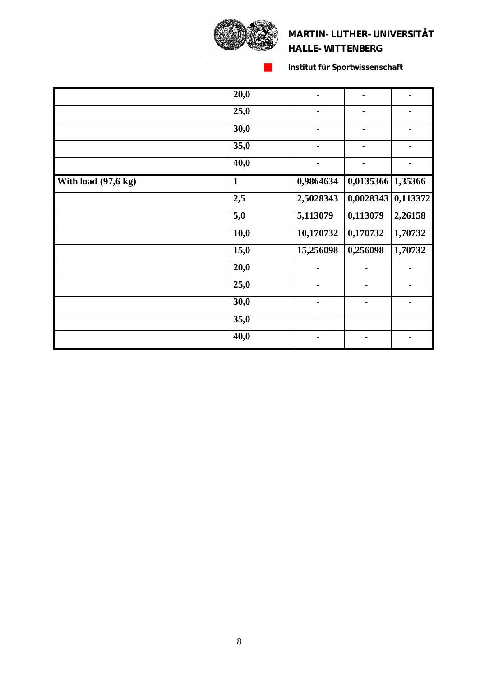

|                     | 20,0             |                | $\blacksquare$ |                |
|---------------------|------------------|----------------|----------------|----------------|
|                     | 25,0             | $\blacksquare$ | $\blacksquare$ |                |
|                     | 30,0             | -              | -              | $\blacksquare$ |
|                     | 35,0             | $\blacksquare$ | $\blacksquare$ |                |
|                     | 40,0             | -              |                |                |
| With load (97,6 kg) | $\mathbf{1}$     | 0,9864634      | 0,0135366      | 1,35366        |
|                     | 2,5              | 2,5028343      | 0,0028343      | 0,113372       |
|                     | $\overline{5,0}$ | 5,113079       | 0,113079       | 2,26158        |
|                     | 10,0             | 10,170732      | 0,170732       | 1,70732        |
|                     | 15,0             | 15,256098      | 0,256098       | 1,70732        |
|                     | 20,0             |                |                |                |
|                     | 25,0             |                |                |                |
|                     | 30,0             |                |                |                |
|                     | 35,0             |                | $\blacksquare$ |                |
|                     | 40,0             |                |                |                |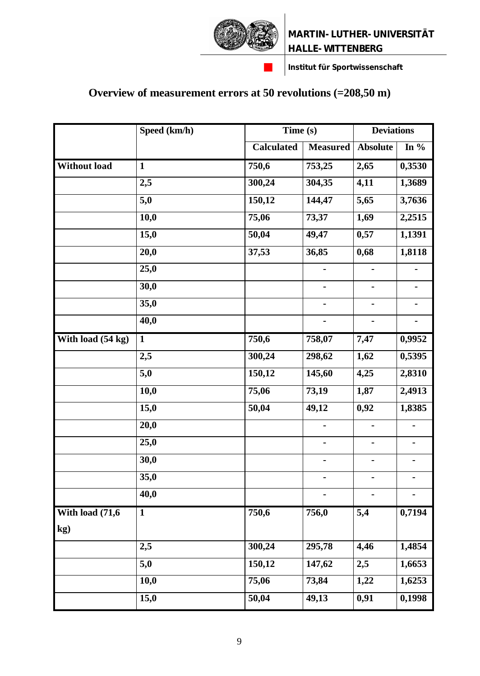



# **Overview of measurement errors at 50 revolutions (=208,50 m)**

|                         | Speed (km/h) |                   | Time(s)                      |                              | <b>Deviations</b>            |  |
|-------------------------|--------------|-------------------|------------------------------|------------------------------|------------------------------|--|
|                         |              | <b>Calculated</b> | <b>Measured</b>              | <b>Absolute</b>              | In $%$                       |  |
| <b>Without load</b>     | $\mathbf{1}$ | 750,6             | 753,25                       | 2,65                         | 0,3530                       |  |
|                         | 2,5          | 300,24            | 304,35                       | 4,11                         | 1,3689                       |  |
|                         | 5,0          | 150,12            | 144,47                       | 5,65                         | 3,7636                       |  |
|                         | 10,0         | 75,06             | 73,37                        | 1,69                         | 2,2515                       |  |
|                         | 15,0         | 50,04             | 49,47                        | 0,57                         | 1,1391                       |  |
|                         | 20,0         | 37,53             | 36,85                        | 0,68                         | 1,8118                       |  |
|                         | 25,0         |                   | $\qquad \qquad \blacksquare$ | $\qquad \qquad \blacksquare$ | $\qquad \qquad \blacksquare$ |  |
|                         | 30,0         |                   |                              |                              |                              |  |
|                         | 35,0         |                   | $\blacksquare$               | $\blacksquare$               | $\blacksquare$               |  |
|                         | 40,0         |                   |                              |                              |                              |  |
| With load (54 kg)       | $\mathbf{1}$ | 750,6             | 758,07                       | 7,47                         | 0,9952                       |  |
|                         | 2,5          | 300,24            | 298,62                       | 1,62                         | 0,5395                       |  |
|                         | 5,0          | 150,12            | 145,60                       | 4,25                         | 2,8310                       |  |
|                         | 10,0         | 75,06             | 73,19                        | 1,87                         | 2,4913                       |  |
|                         | 15,0         | 50,04             | 49,12                        | 0,92                         | 1,8385                       |  |
|                         | 20,0         |                   |                              |                              |                              |  |
|                         | 25,0         |                   | $\qquad \qquad \blacksquare$ | $\blacksquare$               |                              |  |
|                         | 30,0         |                   | ۰                            |                              |                              |  |
|                         | 35,0         |                   | $\qquad \qquad \blacksquare$ | $\qquad \qquad \blacksquare$ |                              |  |
|                         | 40,0         |                   |                              |                              |                              |  |
| With load (71,6)<br>kg) | $\mathbf{1}$ | 750,6             | 756,0                        | 5,4                          | 0,7194                       |  |
|                         | 2,5          | 300,24            | 295,78                       | 4,46                         | 1,4854                       |  |
|                         | 5,0          | 150,12            | 147,62                       | 2,5                          | 1,6653                       |  |
|                         | 10,0         | 75,06             | 73,84                        | 1,22                         | 1,6253                       |  |
|                         | 15,0         | 50,04             | 49,13                        | 0,91                         | $\overline{0,1998}$          |  |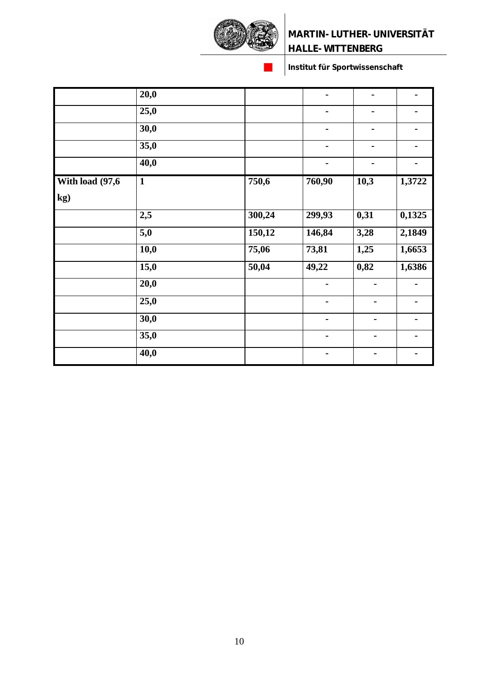

|                  | 20,0              |        | $\blacksquare$ | $\blacksquare$ | $\blacksquare$ |
|------------------|-------------------|--------|----------------|----------------|----------------|
|                  | 25,0              |        |                |                |                |
|                  | 30,0              |        | Ξ.             | $\blacksquare$ |                |
|                  | 35,0              |        | $\blacksquare$ | $\blacksquare$ | $\blacksquare$ |
|                  | $\overline{40,0}$ |        |                |                | -              |
| With load (97,6) | $\mathbf{1}$      | 750,6  | 760,90         | 10,3           | 1,3722         |
| kg)              |                   |        |                |                |                |
|                  | 2,5               | 300,24 | 299,93         | 0,31           | 0,1325         |
|                  | 5,0               | 150,12 | 146,84         | 3,28           | 2,1849         |
|                  | 10,0              | 75,06  | 73,81          | 1,25           | 1,6653         |
|                  | 15,0              | 50,04  | 49,22          | 0,82           | 1,6386         |
|                  | 20,0              |        |                | $\blacksquare$ | $\blacksquare$ |
|                  | 25,0              |        | $\blacksquare$ | $\blacksquare$ |                |
|                  | 30,0              |        | $\blacksquare$ | $\blacksquare$ | $\blacksquare$ |
|                  | 35,0              |        |                | $\blacksquare$ |                |
|                  | 40,0              |        |                |                |                |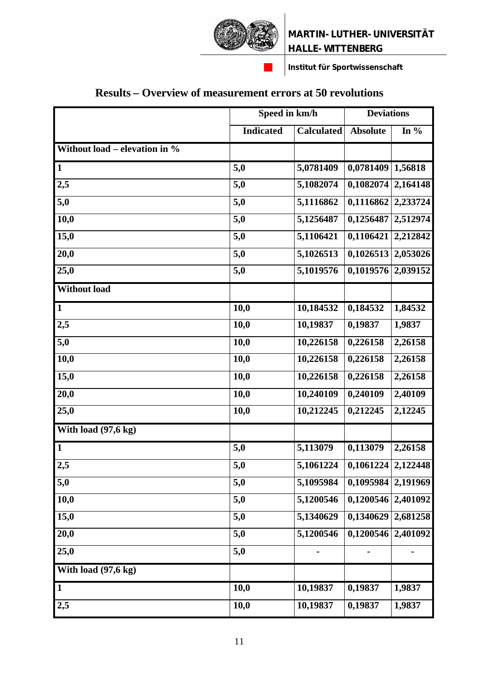

# **Results – Overview of measurement errors at 50 revolutions**

|                                  | Speed in km/h    |                   | <b>Deviations</b>    |          |
|----------------------------------|------------------|-------------------|----------------------|----------|
|                                  | <b>Indicated</b> | <b>Calculated</b> | <b>Absolute</b>      | In $%$   |
| Without load – elevation in $\%$ |                  |                   |                      |          |
| $\mathbf{1}$                     | $\overline{5,0}$ | 5,0781409         | 0,0781409            | 1,56818  |
| 2,5                              | 5,0              | 5,1082074         | 0,1082074            | 2,164148 |
| 5,0                              | 5,0              | 5,1116862         | 0,1116862            | 2,233724 |
| 10,0                             | 5,0              | 5,1256487         | 0,1256487            | 2,512974 |
| 15,0                             | 5,0              | 5,1106421         | 0,1106421            | 2,212842 |
| 20,0                             | 5,0              | 5,1026513         | 0,1026513            | 2,053026 |
| 25,0                             | 5,0              | 5,1019576         | 0,1019576            | 2,039152 |
| Without load                     |                  |                   |                      |          |
| $\mathbf{1}$                     | 10,0             | 10,184532         | 0,184532             | 1,84532  |
| 2,5                              | 10,0             | 10,19837          | 0,19837              | 1,9837   |
| 5,0                              | 10,0             | 10,226158         | 0,226158             | 2,26158  |
| 10,0                             | 10,0             | 10,226158         | 0,226158             | 2,26158  |
| 15,0                             | 10,0             | 10,226158         | 0,226158             | 2,26158  |
| 20,0                             | 10,0             | 10,240109         | 0,240109             | 2,40109  |
| 25,0                             | 10,0             | 10,212245         | 0,212245             | 2,12245  |
| With load $(97, 6 \text{ kg})$   |                  |                   |                      |          |
| $\mathbf{1}$                     | 5,0              | 5,113079          | 0,113079             | 2,26158  |
| 2,5                              | 5,0              | 5,1061224         | $0,1061224$ 2,122448 |          |
| 5,0                              | 5,0              | 5,1095984         | 0,1095984            | 2,191969 |
| 10,0                             | 5,0              | 5,1200546         | 0,1200546            | 2,401092 |
| 15,0                             | 5,0              | 5,1340629         | 0,1340629            | 2,681258 |
| 20,0                             | 5,0              | 5,1200546         | 0,1200546            | 2,401092 |
| 25,0                             | 5,0              |                   |                      |          |
| With load (97,6 kg)              |                  |                   |                      |          |
| $\mathbf{1}$                     | 10,0             | 10,19837          | 0,19837              | 1,9837   |
| 2,5                              | 10,0             | 10,19837          | 0,19837              | 1,9837   |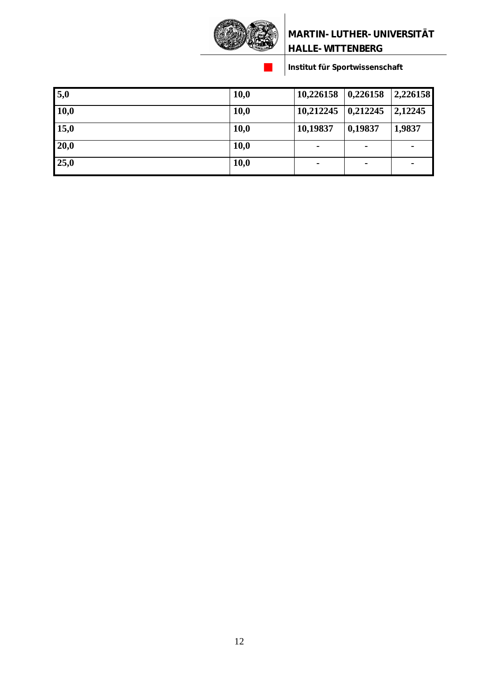

| 5,0  | 10,0 | $10,226158$   0,226158   2,226158 |                |         |
|------|------|-----------------------------------|----------------|---------|
| 10,0 | 10,0 | $10,212245$   0,212245            |                | 2,12245 |
| 15,0 | 10,0 | 10,19837                          | 0,19837        | 1,9837  |
| 20,0 | 10,0 | $\blacksquare$                    | $\blacksquare$ |         |
| 25,0 | 10,0 |                                   | $\blacksquare$ |         |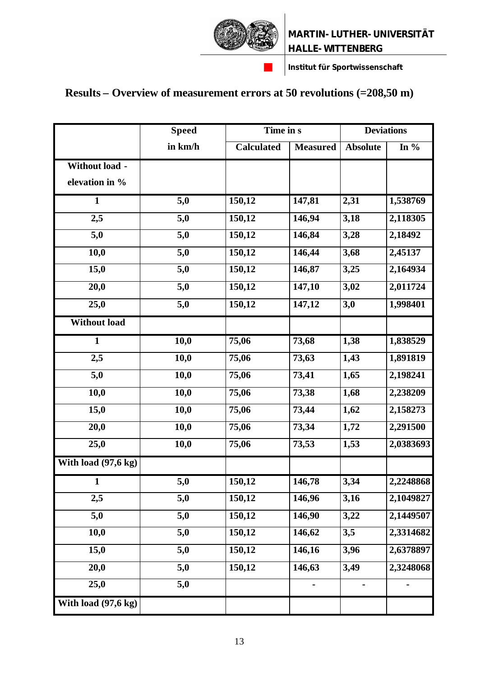

# **Results – Overview of measurement errors at 50 revolutions (=208,50 m)**

|                     | <b>Speed</b>     | Time in s         |                 | <b>Deviations</b> |           |
|---------------------|------------------|-------------------|-----------------|-------------------|-----------|
|                     | in km/h          | <b>Calculated</b> | <b>Measured</b> | <b>Absolute</b>   | In $%$    |
| Without load -      |                  |                   |                 |                   |           |
| elevation in %      |                  |                   |                 |                   |           |
| $\mathbf{1}$        | 5,0              | 150,12            | 147,81          | 2,31              | 1,538769  |
| 2,5                 | 5,0              | 150,12            | 146,94          | 3,18              | 2,118305  |
| 5,0                 | 5,0              | 150,12            | 146,84          | 3,28              | 2,18492   |
| 10,0                | 5,0              | 150,12            | 146,44          | 3,68              | 2,45137   |
| 15,0                | 5,0              | 150,12            | 146,87          | 3,25              | 2,164934  |
| 20,0                | 5,0              | 150,12            | 147,10          | 3,02              | 2,011724  |
| 25,0                | $\overline{5,0}$ | 150,12            | 147,12          | 3,0               | 1,998401  |
| <b>Without load</b> |                  |                   |                 |                   |           |
| $\mathbf{1}$        | 10,0             | 75,06             | 73,68           | 1,38              | 1,838529  |
| 2,5                 | 10,0             | 75,06             | 73,63           | 1,43              | 1,891819  |
| 5,0                 | 10,0             | 75,06             | 73,41           | 1,65              | 2,198241  |
| 10,0                | 10,0             | 75,06             | 73,38           | 1,68              | 2,238209  |
| 15,0                | 10,0             | 75,06             | 73,44           | 1,62              | 2,158273  |
| 20,0                | 10,0             | 75,06             | 73,34           | 1,72              | 2,291500  |
| 25,0                | 10,0             | 75,06             | 73,53           | 1,53              | 2,0383693 |
| With load (97,6 kg) |                  |                   |                 |                   |           |
| $\mathbf{1}$        | 5,0              | 150,12            | 146,78          | 3,34              | 2,2248868 |
| 2,5                 | 5,0              | 150,12            | 146,96          | 3,16              | 2,1049827 |
| 5,0                 | 5,0              | 150,12            | 146,90          | 3,22              | 2,1449507 |
| 10,0                | 5,0              | 150,12            | 146,62          | 3,5               | 2,3314682 |
| 15,0                | 5,0              | 150,12            | 146,16          | 3,96              | 2,6378897 |
| 20,0                | 5,0              | 150,12            | 146,63          | 3,49              | 2,3248068 |
| 25,0                | 5,0              |                   |                 |                   |           |
| With load (97,6 kg) |                  |                   |                 |                   |           |